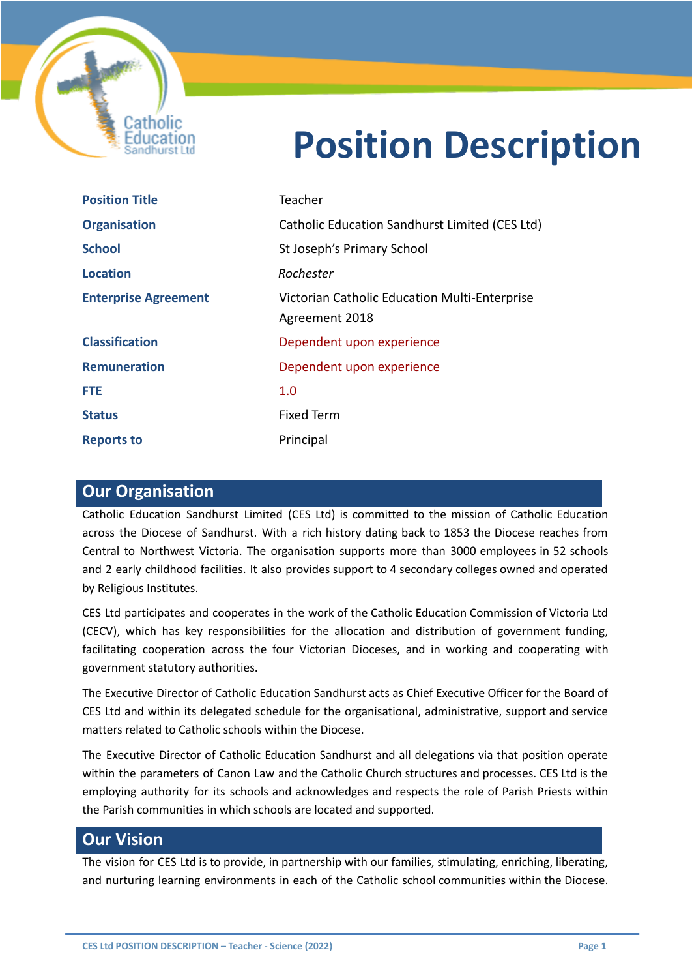

# **Position Description**

| <b>Position Title</b>       | Teacher                                                         |
|-----------------------------|-----------------------------------------------------------------|
| <b>Organisation</b>         | Catholic Education Sandhurst Limited (CES Ltd)                  |
| <b>School</b>               | St Joseph's Primary School                                      |
| <b>Location</b>             | Rochester                                                       |
| <b>Enterprise Agreement</b> | Victorian Catholic Education Multi-Enterprise<br>Agreement 2018 |
| <b>Classification</b>       | Dependent upon experience                                       |
| <b>Remuneration</b>         | Dependent upon experience                                       |
| <b>FTE</b>                  | 1.0                                                             |
| <b>Status</b>               | <b>Fixed Term</b>                                               |
| <b>Reports to</b>           | Principal                                                       |

# **Our Organisation**

Catholic Education Sandhurst Limited (CES Ltd) is committed to the mission of Catholic Education across the Diocese of Sandhurst. With a rich history dating back to 1853 the Diocese reaches from Central to Northwest Victoria. The organisation supports more than 3000 employees in 52 schools and 2 early childhood facilities. It also provides support to 4 secondary colleges owned and operated by Religious Institutes.

CES Ltd participates and cooperates in the work of the Catholic Education Commission of Victoria Ltd (CECV), which has key responsibilities for the allocation and distribution of government funding, facilitating cooperation across the four Victorian Dioceses, and in working and cooperating with government statutory authorities.

The Executive Director of Catholic Education Sandhurst acts as Chief Executive Officer for the Board of CES Ltd and within its delegated schedule for the organisational, administrative, support and service matters related to Catholic schools within the Diocese.

The Executive Director of Catholic Education Sandhurst and all delegations via that position operate within the parameters of Canon Law and the Catholic Church structures and processes. CES Ltd is the employing authority for its schools and acknowledges and respects the role of Parish Priests within the Parish communities in which schools are located and supported.

# **Our Vision**

The vision for CES Ltd is to provide, in partnership with our families, stimulating, enriching, liberating, and nurturing learning environments in each of the Catholic school communities within the Diocese.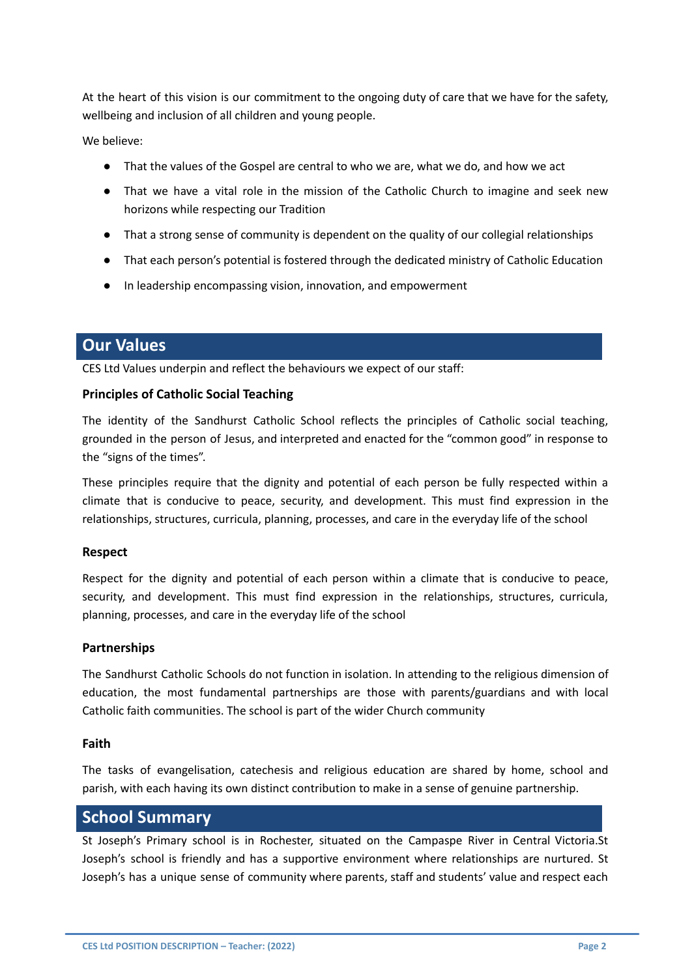At the heart of this vision is our commitment to the ongoing duty of care that we have for the safety, wellbeing and inclusion of all children and young people.

We believe:

- That the values of the Gospel are central to who we are, what we do, and how we act
- That we have a vital role in the mission of the Catholic Church to imagine and seek new horizons while respecting our Tradition
- That a strong sense of community is dependent on the quality of our collegial relationships
- That each person's potential is fostered through the dedicated ministry of Catholic Education
- In leadership encompassing vision, innovation, and empowerment

# **Our Values**

CES Ltd Values underpin and reflect the behaviours we expect of our staff:

#### **Principles of Catholic Social Teaching**

The identity of the Sandhurst Catholic School reflects the principles of Catholic social teaching, grounded in the person of Jesus, and interpreted and enacted for the "common good" in response to the "signs of the times".

These principles require that the dignity and potential of each person be fully respected within a climate that is conducive to peace, security, and development. This must find expression in the relationships, structures, curricula, planning, processes, and care in the everyday life of the school

#### **Respect**

Respect for the dignity and potential of each person within a climate that is conducive to peace, security, and development. This must find expression in the relationships, structures, curricula, planning, processes, and care in the everyday life of the school

#### **Partnerships**

The Sandhurst Catholic Schools do not function in isolation. In attending to the religious dimension of education, the most fundamental partnerships are those with parents/guardians and with local Catholic faith communities. The school is part of the wider Church community

#### **Faith**

The tasks of evangelisation, catechesis and religious education are shared by home, school and parish, with each having its own distinct contribution to make in a sense of genuine partnership.

## **School Summary**

St Joseph's Primary school is in Rochester, situated on the Campaspe River in Central Victoria.St Joseph's school is friendly and has a supportive environment where relationships are nurtured. St Joseph's has a unique sense of community where parents, staff and students' value and respect each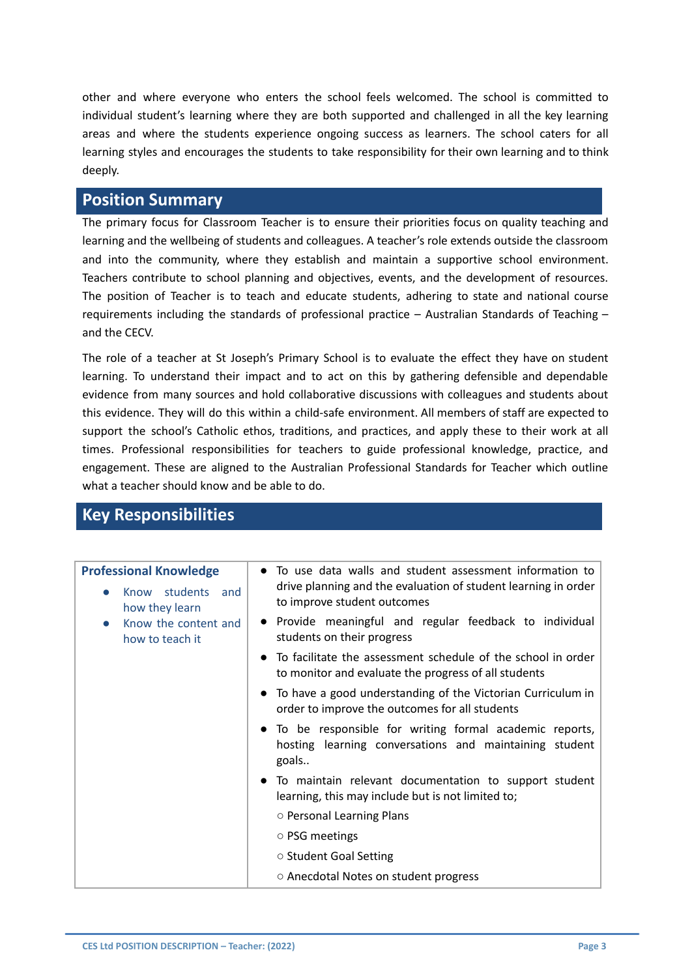other and where everyone who enters the school feels welcomed. The school is committed to individual student's learning where they are both supported and challenged in all the key learning areas and where the students experience ongoing success as learners. The school caters for all learning styles and encourages the students to take responsibility for their own learning and to think deeply.

# **Position Summary**

The primary focus for Classroom Teacher is to ensure their priorities focus on quality teaching and learning and the wellbeing of students and colleagues. A teacher's role extends outside the classroom and into the community, where they establish and maintain a supportive school environment. Teachers contribute to school planning and objectives, events, and the development of resources. The position of Teacher is to teach and educate students, adhering to state and national course requirements including the standards of professional practice – Australian Standards of Teaching – and the CECV.

The role of a teacher at St Joseph's Primary School is to evaluate the effect they have on student learning. To understand their impact and to act on this by gathering defensible and dependable evidence from many sources and hold collaborative discussions with colleagues and students about this evidence. They will do this within a child-safe environment. All members of staff are expected to support the school's Catholic ethos, traditions, and practices, and apply these to their work at all times. Professional responsibilities for teachers to guide professional knowledge, practice, and engagement. These are aligned to the Australian Professional Standards for Teacher which outline what a teacher should know and be able to do.

# **Key Responsibilities**

| <b>Professional Knowledge</b><br>students<br>Know<br>and<br>how they learn | To use data walls and student assessment information to<br>drive planning and the evaluation of student learning in order<br>to improve student outcomes |
|----------------------------------------------------------------------------|----------------------------------------------------------------------------------------------------------------------------------------------------------|
| Know the content and<br>$\bullet$<br>how to teach it                       | • Provide meaningful and regular feedback to individual<br>students on their progress                                                                    |
|                                                                            | To facilitate the assessment schedule of the school in order<br>$\bullet$<br>to monitor and evaluate the progress of all students                        |
|                                                                            | • To have a good understanding of the Victorian Curriculum in<br>order to improve the outcomes for all students                                          |
|                                                                            | To be responsible for writing formal academic reports,<br>hosting learning conversations and maintaining student<br>goals                                |
|                                                                            | To maintain relevant documentation to support student<br>learning, this may include but is not limited to;                                               |
|                                                                            | ○ Personal Learning Plans                                                                                                                                |
|                                                                            | ○ PSG meetings                                                                                                                                           |
|                                                                            | ○ Student Goal Setting                                                                                                                                   |
|                                                                            | ○ Anecdotal Notes on student progress                                                                                                                    |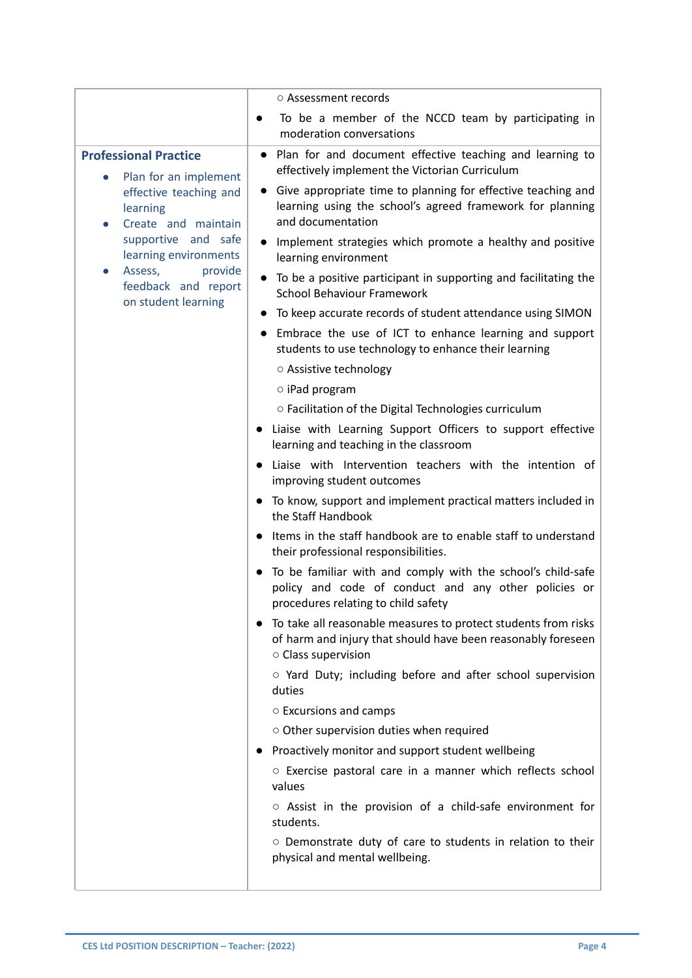|                                                                    | ○ Assessment records                                                                                                                                        |
|--------------------------------------------------------------------|-------------------------------------------------------------------------------------------------------------------------------------------------------------|
|                                                                    | To be a member of the NCCD team by participating in<br>moderation conversations                                                                             |
| <b>Professional Practice</b><br>Plan for an implement<br>$\bullet$ | Plan for and document effective teaching and learning to<br>$\bullet$<br>effectively implement the Victorian Curriculum                                     |
| effective teaching and<br>learning<br>Create and maintain          | Give appropriate time to planning for effective teaching and<br>$\bullet$<br>learning using the school's agreed framework for planning<br>and documentation |
| supportive and safe<br>learning environments                       | • Implement strategies which promote a healthy and positive<br>learning environment                                                                         |
| Assess,<br>provide<br>feedback and report<br>on student learning   | To be a positive participant in supporting and facilitating the<br><b>School Behaviour Framework</b>                                                        |
|                                                                    | To keep accurate records of student attendance using SIMON                                                                                                  |
|                                                                    | Embrace the use of ICT to enhance learning and support<br>students to use technology to enhance their learning                                              |
|                                                                    | ○ Assistive technology                                                                                                                                      |
|                                                                    | $\circ$ iPad program                                                                                                                                        |
|                                                                    | o Facilitation of the Digital Technologies curriculum                                                                                                       |
|                                                                    | • Liaise with Learning Support Officers to support effective<br>learning and teaching in the classroom                                                      |
|                                                                    | Liaise with Intervention teachers with the intention of<br>improving student outcomes                                                                       |
|                                                                    | To know, support and implement practical matters included in<br>the Staff Handbook                                                                          |
|                                                                    | Items in the staff handbook are to enable staff to understand<br>their professional responsibilities.                                                       |
|                                                                    | To be familiar with and comply with the school's child-safe<br>policy and code of conduct and any other policies or<br>procedures relating to child safety  |
|                                                                    | To take all reasonable measures to protect students from risks<br>of harm and injury that should have been reasonably foreseen<br>○ Class supervision       |
|                                                                    | ○ Yard Duty; including before and after school supervision<br>duties                                                                                        |
|                                                                    | $\circ$ Excursions and camps                                                                                                                                |
|                                                                    | $\circ$ Other supervision duties when required                                                                                                              |
|                                                                    | Proactively monitor and support student wellbeing                                                                                                           |
|                                                                    | ○ Exercise pastoral care in a manner which reflects school<br>values                                                                                        |
|                                                                    | $\circ$ Assist in the provision of a child-safe environment for<br>students.                                                                                |
|                                                                    | O Demonstrate duty of care to students in relation to their<br>physical and mental wellbeing.                                                               |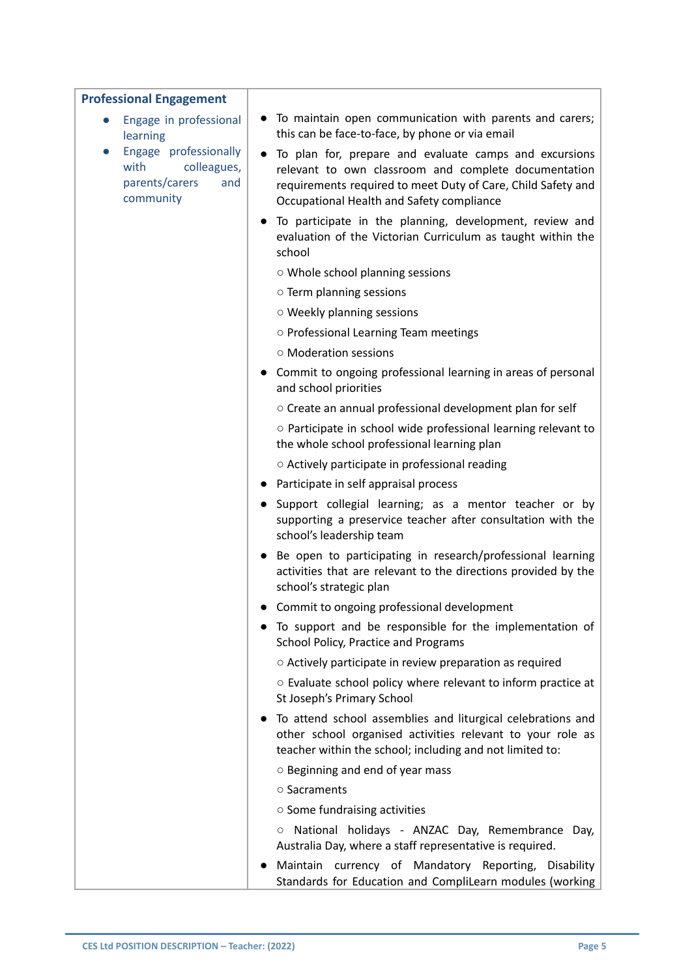#### **Professional Engagement**

- Engage in professional learning
- Engage professionally with colleagues, parents/carers and community
- To maintain open communication with parents and carers; this can be face-to-face, by phone or via email
- To plan for, prepare and evaluate camps and excursions relevant to own classroom and complete documentation requirements required to meet Duty of Care, Child Safety and Occupational Health and Safety compliance
- To participate in the planning, development, review and evaluation of the Victorian Curriculum as taught within the school
	- Whole school planning sessions
	- Term planning sessions
	- Weekly planning sessions
	- Professional Learning Team meetings
	- Moderation sessions
- Commit to ongoing professional learning in areas of personal and school priorities
	- Create an annual professional development plan for self
	- Participate in school wide professional learning relevant to the whole school professional learning plan
	- Actively participate in professional reading
- Participate in self appraisal process
- Support collegial learning; as a mentor teacher or by supporting a preservice teacher after consultation with the school's leadership team
- Be open to participating in research/professional learning activities that are relevant to the directions provided by the school's strategic plan
- Commit to ongoing professional development
- To support and be responsible for the implementation of School Policy, Practice and Programs
	- Actively participate in review preparation as required
	- Evaluate school policy where relevant to inform practice at St Joseph's Primary School
- To attend school assemblies and liturgical celebrations and other school organised activities relevant to your role as teacher within the school; including and not limited to:
	- Beginning and end of year mass
	- Sacraments
	- Some fundraising activities
	- National holidays ANZAC Day, Remembrance Day, Australia Day, where a staff representative is required.
- Maintain currency of Mandatory Reporting, Disability Standards for Education and CompliLearn modules (working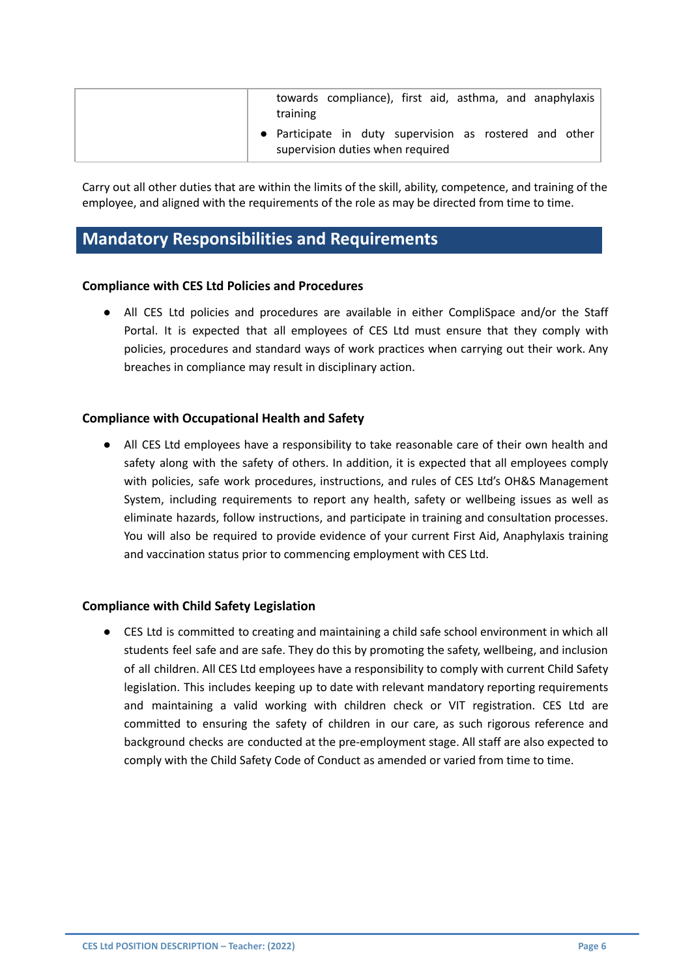| towards compliance), first aid, asthma, and anaphylaxis<br>training                         |
|---------------------------------------------------------------------------------------------|
| • Participate in duty supervision as rostered and other<br>supervision duties when required |

Carry out all other duties that are within the limits of the skill, ability, competence, and training of the employee, and aligned with the requirements of the role as may be directed from time to time.

# **Mandatory Responsibilities and Requirements**

### **Compliance with CES Ltd Policies and Procedures**

● All CES Ltd policies and procedures are available in either CompliSpace and/or the Staff Portal. It is expected that all employees of CES Ltd must ensure that they comply with policies, procedures and standard ways of work practices when carrying out their work. Any breaches in compliance may result in disciplinary action.

### **Compliance with Occupational Health and Safety**

● All CES Ltd employees have a responsibility to take reasonable care of their own health and safety along with the safety of others. In addition, it is expected that all employees comply with policies, safe work procedures, instructions, and rules of CES Ltd's OH&S Management System, including requirements to report any health, safety or wellbeing issues as well as eliminate hazards, follow instructions, and participate in training and consultation processes. You will also be required to provide evidence of your current First Aid, Anaphylaxis training and vaccination status prior to commencing employment with CES Ltd.

#### **Compliance with Child Safety Legislation**

● CES Ltd is committed to creating and maintaining a child safe school environment in which all students feel safe and are safe. They do this by promoting the safety, wellbeing, and inclusion of all children. All CES Ltd employees have a responsibility to comply with current Child Safety legislation. This includes keeping up to date with relevant mandatory reporting requirements and maintaining a valid working with children check or VIT registration. CES Ltd are committed to ensuring the safety of children in our care, as such rigorous reference and background checks are conducted at the pre-employment stage. All staff are also expected to comply with the Child Safety Code of Conduct as amended or varied from time to time.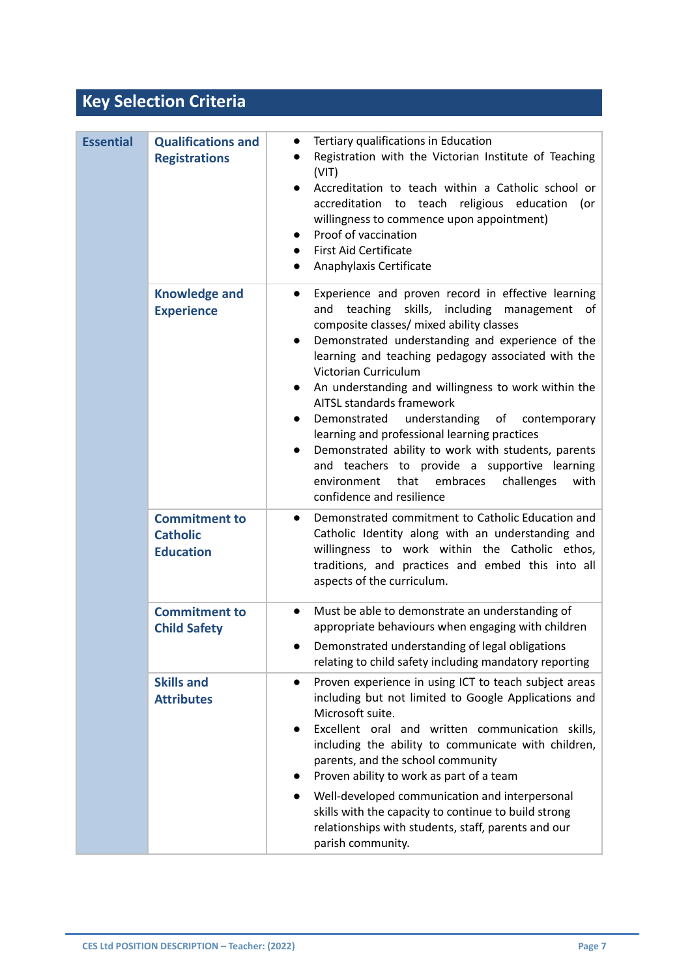# **Key Selection Criteria**

| <b>Essential</b> | <b>Qualifications and</b><br><b>Registrations</b>           | Tertiary qualifications in Education<br>$\bullet$<br>Registration with the Victorian Institute of Teaching<br>(VIT)<br>Accreditation to teach within a Catholic school or<br>$\bullet$<br>accreditation to teach religious education<br>(or<br>willingness to commence upon appointment)<br>Proof of vaccination<br>$\bullet$<br><b>First Aid Certificate</b><br>$\bullet$<br>Anaphylaxis Certificate<br>$\bullet$                                                                                                                                                                                                                                                                                                            |
|------------------|-------------------------------------------------------------|-------------------------------------------------------------------------------------------------------------------------------------------------------------------------------------------------------------------------------------------------------------------------------------------------------------------------------------------------------------------------------------------------------------------------------------------------------------------------------------------------------------------------------------------------------------------------------------------------------------------------------------------------------------------------------------------------------------------------------|
|                  | <b>Knowledge and</b><br><b>Experience</b>                   | Experience and proven record in effective learning<br>$\bullet$<br>teaching<br>skills, including management of<br>and<br>composite classes/ mixed ability classes<br>Demonstrated understanding and experience of the<br>$\bullet$<br>learning and teaching pedagogy associated with the<br>Victorian Curriculum<br>An understanding and willingness to work within the<br>$\bullet$<br>AITSL standards framework<br>understanding of contemporary<br>Demonstrated<br>$\bullet$<br>learning and professional learning practices<br>Demonstrated ability to work with students, parents<br>and teachers to provide a supportive learning<br>that<br>embraces<br>environment<br>challenges<br>with<br>confidence and resilience |
|                  | <b>Commitment to</b><br><b>Catholic</b><br><b>Education</b> | Demonstrated commitment to Catholic Education and<br>$\bullet$<br>Catholic Identity along with an understanding and<br>willingness to work within the Catholic ethos,<br>traditions, and practices and embed this into all<br>aspects of the curriculum.                                                                                                                                                                                                                                                                                                                                                                                                                                                                      |
|                  | <b>Commitment to</b><br><b>Child Safety</b>                 | Must be able to demonstrate an understanding of<br>$\bullet$<br>appropriate behaviours when engaging with children<br>Demonstrated understanding of legal obligations<br>relating to child safety including mandatory reporting                                                                                                                                                                                                                                                                                                                                                                                                                                                                                               |
|                  | <b>Skills and</b><br><b>Attributes</b>                      | Proven experience in using ICT to teach subject areas<br>$\bullet$<br>including but not limited to Google Applications and<br>Microsoft suite.<br>Excellent oral and written communication skills,<br>$\bullet$<br>including the ability to communicate with children,<br>parents, and the school community<br>Proven ability to work as part of a team<br>Well-developed communication and interpersonal<br>skills with the capacity to continue to build strong<br>relationships with students, staff, parents and our<br>parish community.                                                                                                                                                                                 |